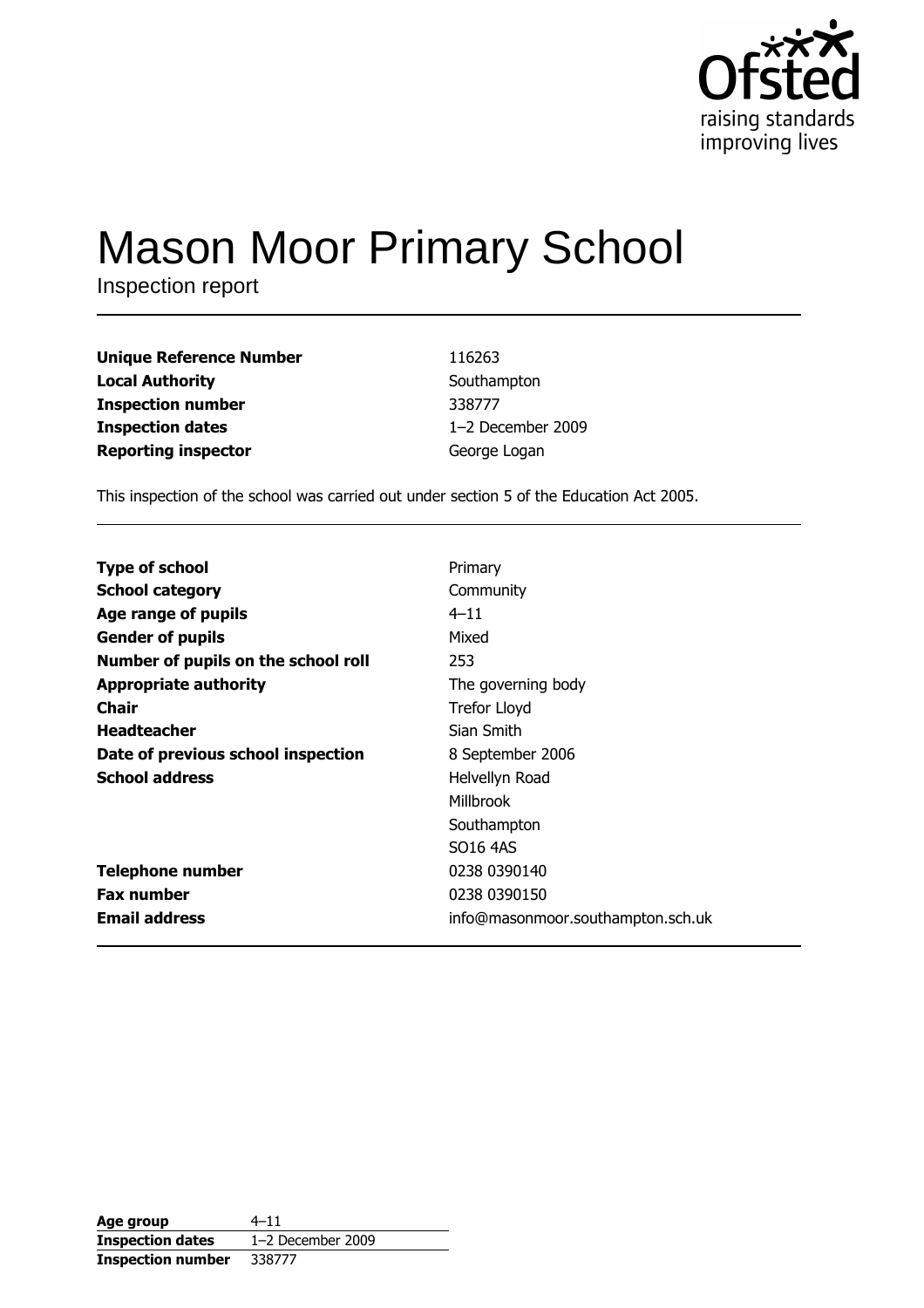

# **Mason Moor Primary School**

Inspection report

| <b>Unique Reference Number</b> | 116263            |
|--------------------------------|-------------------|
| <b>Local Authority</b>         | Southampton       |
| <b>Inspection number</b>       | 338777            |
| <b>Inspection dates</b>        | 1-2 December 2009 |
| <b>Reporting inspector</b>     | George Logan      |

This inspection of the school was carried out under section 5 of the Education Act 2005.

| <b>Type of school</b>               | Primary                           |
|-------------------------------------|-----------------------------------|
| <b>School category</b>              | Community                         |
| Age range of pupils                 | $4 - 11$                          |
| <b>Gender of pupils</b>             | Mixed                             |
| Number of pupils on the school roll | 253                               |
| <b>Appropriate authority</b>        | The governing body                |
| <b>Chair</b>                        | Trefor Lloyd                      |
| <b>Headteacher</b>                  | Sian Smith                        |
| Date of previous school inspection  | 8 September 2006                  |
| <b>School address</b>               | Helvellyn Road                    |
|                                     | Millbrook                         |
|                                     | Southampton                       |
|                                     | SO <sub>16</sub> 4AS              |
| <b>Telephone number</b>             | 0238 0390140                      |
| <b>Fax number</b>                   | 0238 0390150                      |
| <b>Email address</b>                | info@masonmoor.southampton.sch.uk |

| Age group                | 4–11                |
|--------------------------|---------------------|
| <b>Inspection dates</b>  | $1-2$ December 2009 |
| <b>Inspection number</b> | 338777              |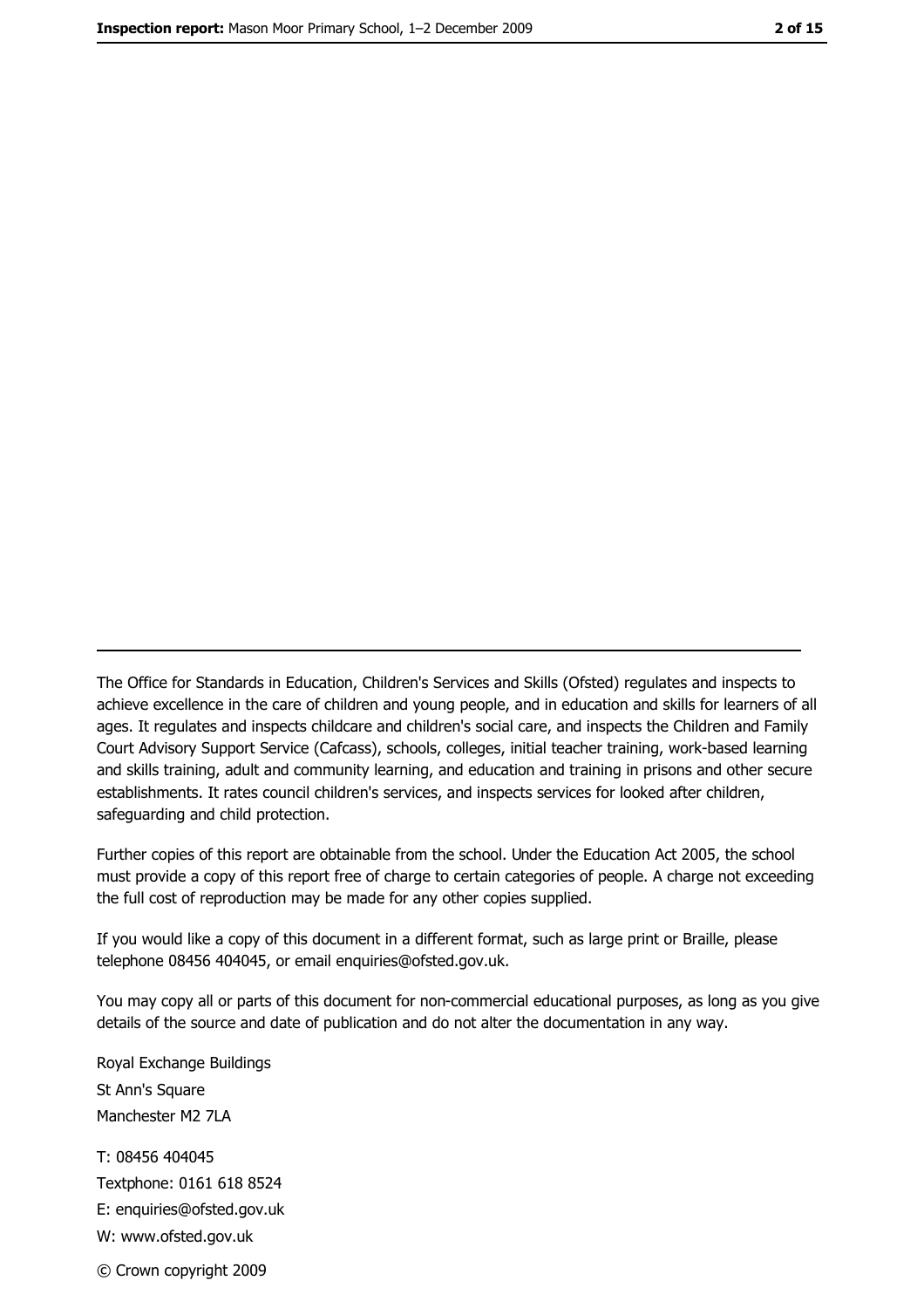The Office for Standards in Education, Children's Services and Skills (Ofsted) regulates and inspects to achieve excellence in the care of children and young people, and in education and skills for learners of all ages. It regulates and inspects childcare and children's social care, and inspects the Children and Family Court Advisory Support Service (Cafcass), schools, colleges, initial teacher training, work-based learning and skills training, adult and community learning, and education and training in prisons and other secure establishments. It rates council children's services, and inspects services for looked after children, safequarding and child protection.

Further copies of this report are obtainable from the school. Under the Education Act 2005, the school must provide a copy of this report free of charge to certain categories of people. A charge not exceeding the full cost of reproduction may be made for any other copies supplied.

If you would like a copy of this document in a different format, such as large print or Braille, please telephone 08456 404045, or email enquiries@ofsted.gov.uk.

You may copy all or parts of this document for non-commercial educational purposes, as long as you give details of the source and date of publication and do not alter the documentation in any way.

Royal Exchange Buildings St Ann's Square Manchester M2 7LA T: 08456 404045 Textphone: 0161 618 8524 E: enquiries@ofsted.gov.uk W: www.ofsted.gov.uk

© Crown copyright 2009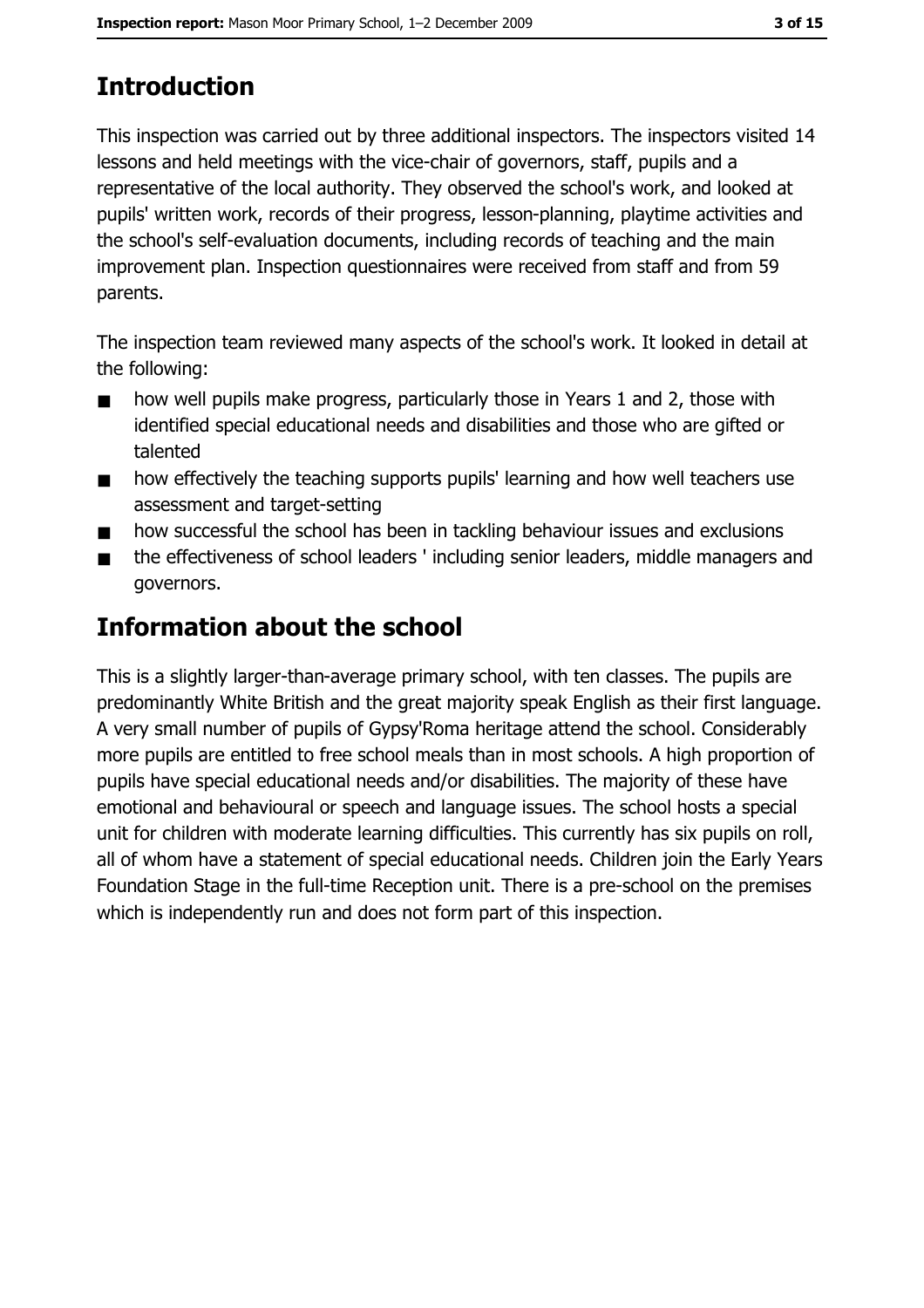# **Introduction**

This inspection was carried out by three additional inspectors. The inspectors visited 14 lessons and held meetings with the vice-chair of governors, staff, pupils and a representative of the local authority. They observed the school's work, and looked at pupils' written work, records of their progress, lesson-planning, playtime activities and the school's self-evaluation documents, including records of teaching and the main improvement plan. Inspection questionnaires were received from staff and from 59 parents.

The inspection team reviewed many aspects of the school's work. It looked in detail at the following:

- how well pupils make progress, particularly those in Years 1 and 2, those with  $\blacksquare$ identified special educational needs and disabilities and those who are gifted or talented
- how effectively the teaching supports pupils' learning and how well teachers use  $\blacksquare$ assessment and target-setting
- how successful the school has been in tackling behaviour issues and exclusions  $\blacksquare$
- the effectiveness of school leaders ' including senior leaders, middle managers and  $\blacksquare$ governors.

# **Information about the school**

This is a slightly larger-than-average primary school, with ten classes. The pupils are predominantly White British and the great majority speak English as their first language. A very small number of pupils of Gypsy'Roma heritage attend the school. Considerably more pupils are entitled to free school meals than in most schools. A high proportion of pupils have special educational needs and/or disabilities. The majority of these have emotional and behavioural or speech and language issues. The school hosts a special unit for children with moderate learning difficulties. This currently has six pupils on roll, all of whom have a statement of special educational needs. Children join the Early Years Foundation Stage in the full-time Reception unit. There is a pre-school on the premises which is independently run and does not form part of this inspection.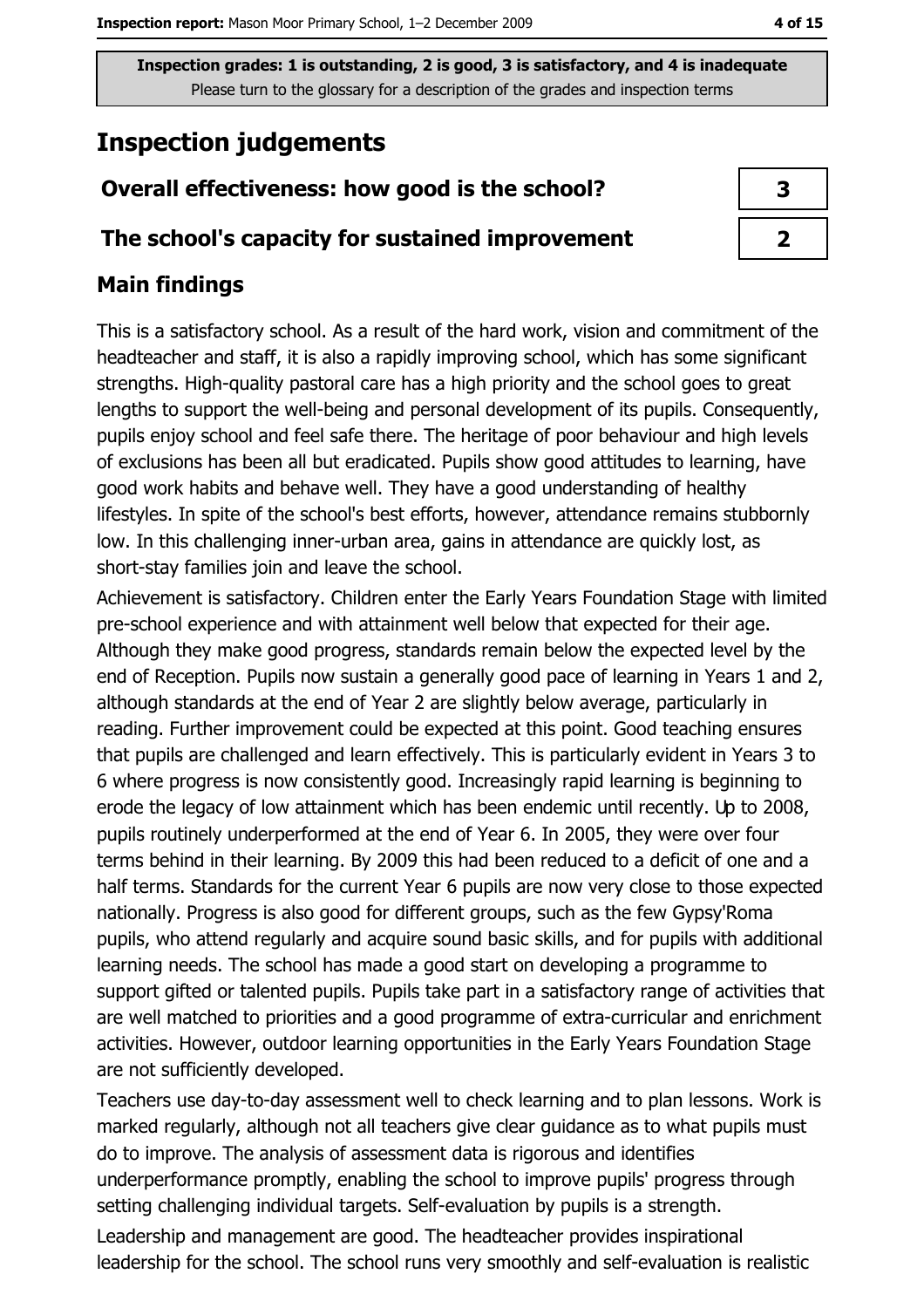## **Inspection judgements**

## Overall effectiveness: how good is the school?

#### The school's capacity for sustained improvement

#### **Main findings**

This is a satisfactory school. As a result of the hard work, vision and commitment of the headteacher and staff, it is also a rapidly improving school, which has some significant strengths. High-quality pastoral care has a high priority and the school goes to great lengths to support the well-being and personal development of its pupils. Consequently, pupils enjoy school and feel safe there. The heritage of poor behaviour and high levels of exclusions has been all but eradicated. Pupils show good attitudes to learning, have good work habits and behave well. They have a good understanding of healthy lifestyles. In spite of the school's best efforts, however, attendance remains stubbornly low. In this challenging inner-urban area, gains in attendance are quickly lost, as short-stay families join and leave the school.

Achievement is satisfactory. Children enter the Early Years Foundation Stage with limited pre-school experience and with attainment well below that expected for their age. Although they make good progress, standards remain below the expected level by the end of Reception. Pupils now sustain a generally good pace of learning in Years 1 and 2, although standards at the end of Year 2 are slightly below average, particularly in reading. Further improvement could be expected at this point. Good teaching ensures that pupils are challenged and learn effectively. This is particularly evident in Years 3 to 6 where progress is now consistently good. Increasingly rapid learning is beginning to erode the legacy of low attainment which has been endemic until recently. Up to 2008, pupils routinely underperformed at the end of Year 6. In 2005, they were over four terms behind in their learning. By 2009 this had been reduced to a deficit of one and a half terms. Standards for the current Year 6 pupils are now very close to those expected nationally. Progress is also good for different groups, such as the few Gypsy'Roma pupils, who attend regularly and acquire sound basic skills, and for pupils with additional learning needs. The school has made a good start on developing a programme to support gifted or talented pupils. Pupils take part in a satisfactory range of activities that are well matched to priorities and a good programme of extra-curricular and enrichment activities. However, outdoor learning opportunities in the Early Years Foundation Stage are not sufficiently developed.

Teachers use day-to-day assessment well to check learning and to plan lessons. Work is marked regularly, although not all teachers give clear guidance as to what pupils must do to improve. The analysis of assessment data is rigorous and identifies underperformance promptly, enabling the school to improve pupils' progress through setting challenging individual targets. Self-evaluation by pupils is a strength. Leadership and management are good. The headteacher provides inspirational leadership for the school. The school runs very smoothly and self-evaluation is realistic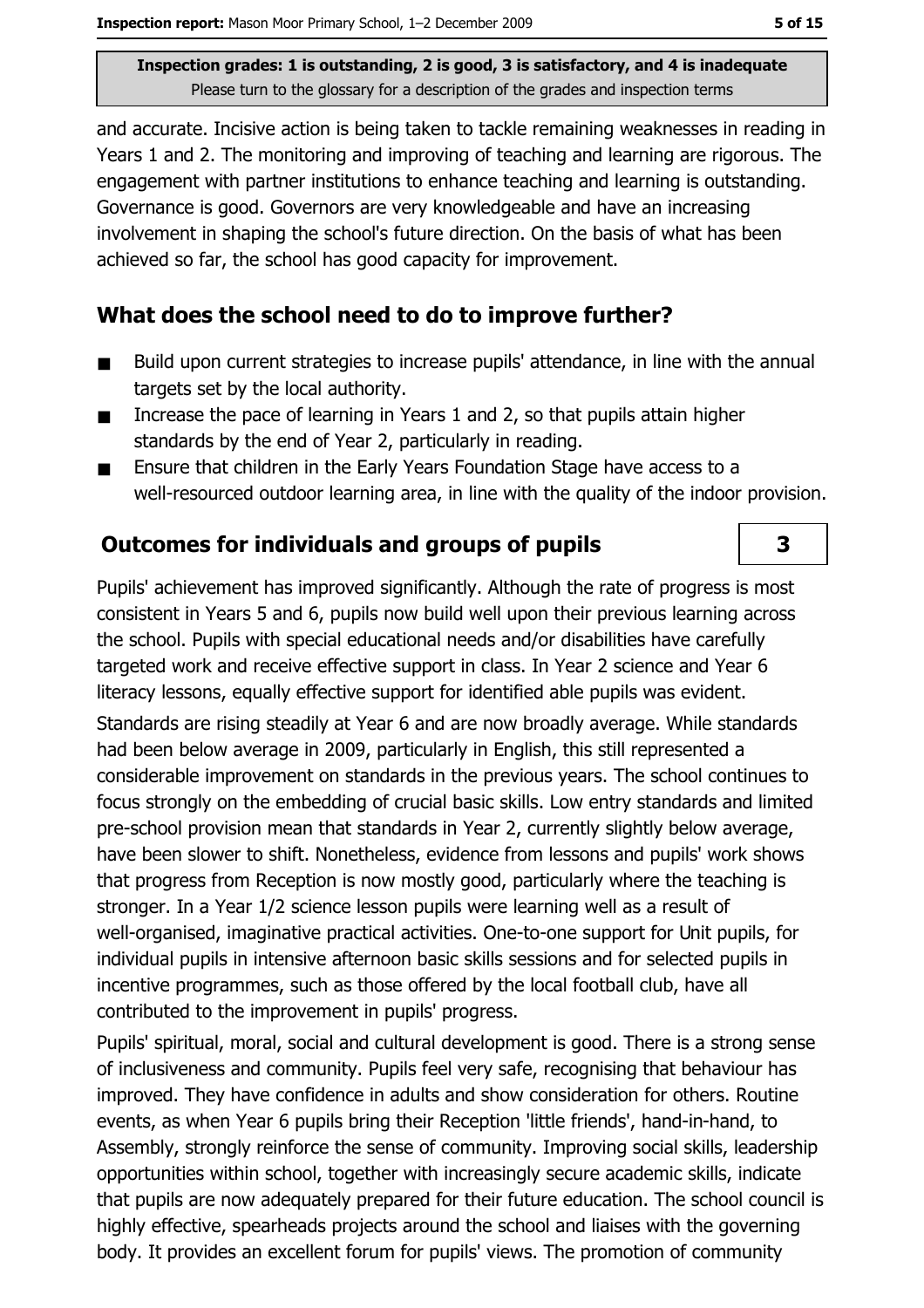and accurate. Incisive action is being taken to tackle remaining weaknesses in reading in Years 1 and 2. The monitoring and improving of teaching and learning are rigorous. The engagement with partner institutions to enhance teaching and learning is outstanding. Governance is good. Governors are very knowledgeable and have an increasing involvement in shaping the school's future direction. On the basis of what has been achieved so far, the school has good capacity for improvement.

#### What does the school need to do to improve further?

- $\blacksquare$ Build upon current strategies to increase pupils' attendance, in line with the annual targets set by the local authority.
- Increase the pace of learning in Years 1 and 2, so that pupils attain higher  $\blacksquare$ standards by the end of Year 2, particularly in reading.
- Ensure that children in the Early Years Foundation Stage have access to a  $\blacksquare$ well-resourced outdoor learning area, in line with the quality of the indoor provision.

## **Outcomes for individuals and groups of pupils**

Pupils' achievement has improved significantly. Although the rate of progress is most consistent in Years 5 and 6, pupils now build well upon their previous learning across the school. Pupils with special educational needs and/or disabilities have carefully targeted work and receive effective support in class. In Year 2 science and Year 6 literacy lessons, equally effective support for identified able pupils was evident.

Standards are rising steadily at Year 6 and are now broadly average. While standards had been below average in 2009, particularly in English, this still represented a considerable improvement on standards in the previous years. The school continues to focus strongly on the embedding of crucial basic skills. Low entry standards and limited pre-school provision mean that standards in Year 2, currently slightly below average, have been slower to shift. Nonetheless, evidence from lessons and pupils' work shows that progress from Reception is now mostly good, particularly where the teaching is stronger. In a Year 1/2 science lesson pupils were learning well as a result of well-organised, imaginative practical activities. One-to-one support for Unit pupils, for individual pupils in intensive afternoon basic skills sessions and for selected pupils in incentive programmes, such as those offered by the local football club, have all contributed to the improvement in pupils' progress.

Pupils' spiritual, moral, social and cultural development is good. There is a strong sense of inclusiveness and community. Pupils feel very safe, recognising that behaviour has improved. They have confidence in adults and show consideration for others. Routine events, as when Year 6 pupils bring their Reception 'little friends', hand-in-hand, to Assembly, strongly reinforce the sense of community. Improving social skills, leadership opportunities within school, together with increasingly secure academic skills, indicate that pupils are now adequately prepared for their future education. The school council is highly effective, spearheads projects around the school and liaises with the governing body. It provides an excellent forum for pupils' views. The promotion of community

3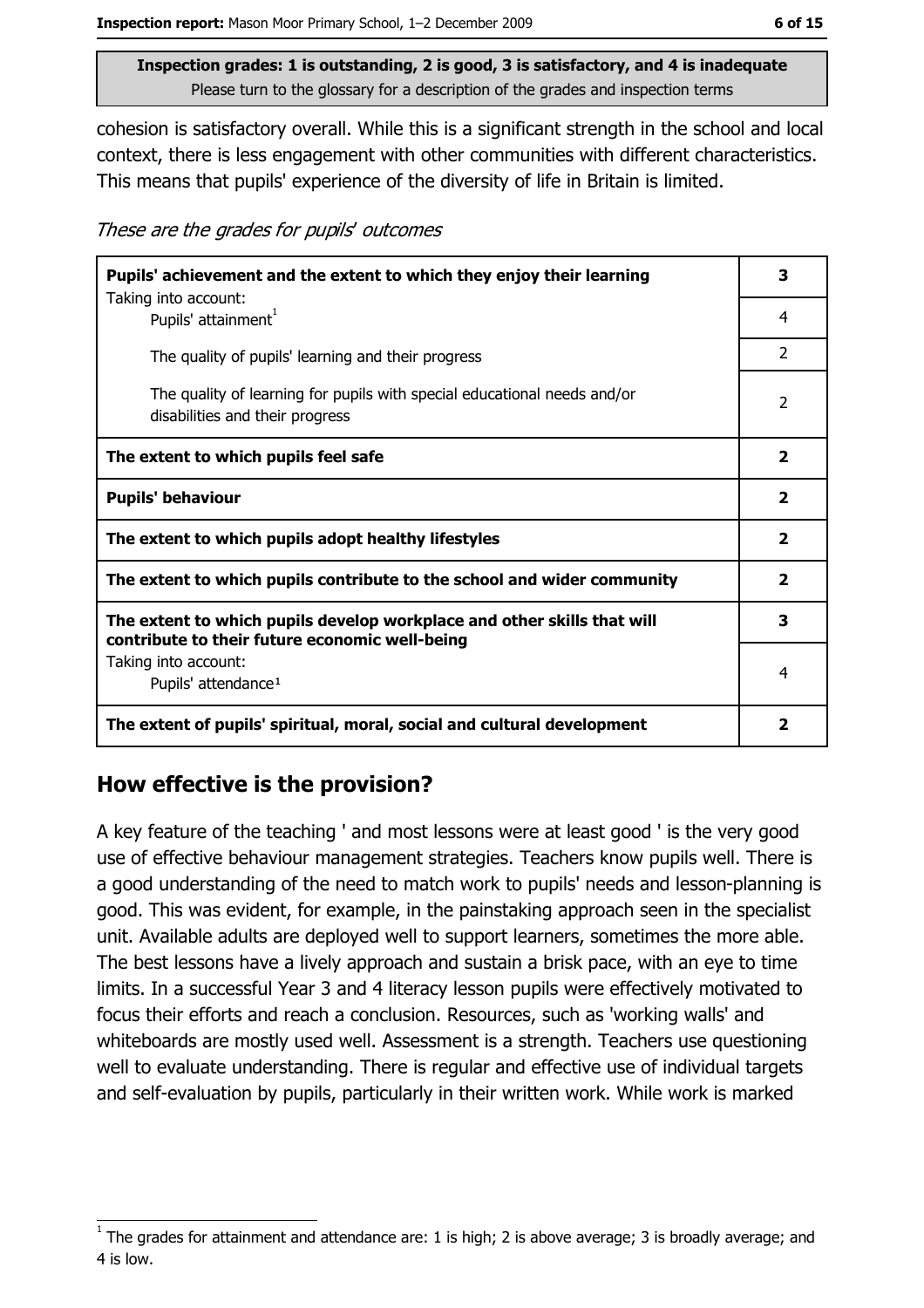cohesion is satisfactory overall. While this is a significant strength in the school and local context, there is less engagement with other communities with different characteristics. This means that pupils' experience of the diversity of life in Britain is limited.

These are the grades for pupils' outcomes

| Pupils' achievement and the extent to which they enjoy their learning<br>Taking into account:                             | 3              |
|---------------------------------------------------------------------------------------------------------------------------|----------------|
| Pupils' attainment <sup>1</sup>                                                                                           | 4              |
| The quality of pupils' learning and their progress                                                                        | $\overline{2}$ |
| The quality of learning for pupils with special educational needs and/or<br>disabilities and their progress               | $\overline{2}$ |
| The extent to which pupils feel safe                                                                                      | 2              |
| <b>Pupils' behaviour</b>                                                                                                  | $\mathbf{2}$   |
| The extent to which pupils adopt healthy lifestyles                                                                       | 2              |
| The extent to which pupils contribute to the school and wider community                                                   | $\mathbf{2}$   |
| The extent to which pupils develop workplace and other skills that will<br>contribute to their future economic well-being | 3              |
| Taking into account:<br>Pupils' attendance <sup>1</sup>                                                                   | 4              |
| The extent of pupils' spiritual, moral, social and cultural development                                                   | $\mathbf{2}$   |

## How effective is the provision?

A key feature of the teaching ' and most lessons were at least good ' is the very good use of effective behaviour management strategies. Teachers know pupils well. There is a good understanding of the need to match work to pupils' needs and lesson-planning is good. This was evident, for example, in the painstaking approach seen in the specialist unit. Available adults are deployed well to support learners, sometimes the more able. The best lessons have a lively approach and sustain a brisk pace, with an eye to time limits. In a successful Year 3 and 4 literacy lesson pupils were effectively motivated to focus their efforts and reach a conclusion. Resources, such as 'working walls' and whiteboards are mostly used well. Assessment is a strength. Teachers use questioning well to evaluate understanding. There is regular and effective use of individual targets and self-evaluation by pupils, particularly in their written work. While work is marked

The grades for attainment and attendance are: 1 is high; 2 is above average; 3 is broadly average; and 4 is low.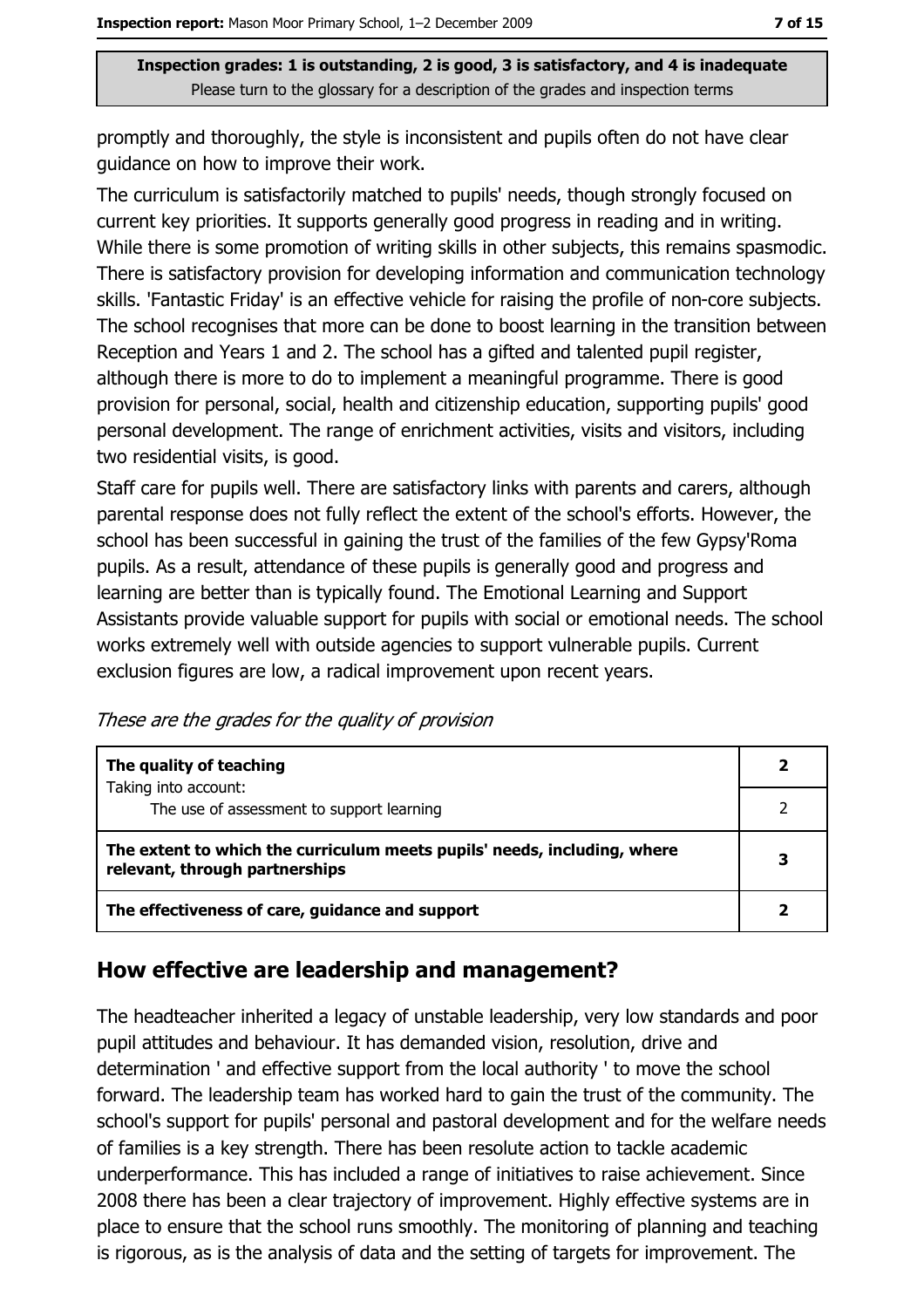promptly and thoroughly, the style is inconsistent and pupils often do not have clear quidance on how to improve their work.

The curriculum is satisfactorily matched to pupils' needs, though strongly focused on current key priorities. It supports generally good progress in reading and in writing. While there is some promotion of writing skills in other subjects, this remains spasmodic. There is satisfactory provision for developing information and communication technology skills. 'Fantastic Friday' is an effective vehicle for raising the profile of non-core subjects. The school recognises that more can be done to boost learning in the transition between Reception and Years 1 and 2. The school has a gifted and talented pupil register, although there is more to do to implement a meaningful programme. There is good provision for personal, social, health and citizenship education, supporting pupils' good personal development. The range of enrichment activities, visits and visitors, including two residential visits, is good.

Staff care for pupils well. There are satisfactory links with parents and carers, although parental response does not fully reflect the extent of the school's efforts. However, the school has been successful in gaining the trust of the families of the few Gypsy'Roma pupils. As a result, attendance of these pupils is generally good and progress and learning are better than is typically found. The Emotional Learning and Support Assistants provide valuable support for pupils with social or emotional needs. The school works extremely well with outside agencies to support vulnerable pupils. Current exclusion figures are low, a radical improvement upon recent years.

These are the grades for the quality of provision

| The quality of teaching                                                                                    |   |
|------------------------------------------------------------------------------------------------------------|---|
| Taking into account:<br>The use of assessment to support learning                                          |   |
| The extent to which the curriculum meets pupils' needs, including, where<br>relevant, through partnerships | 3 |
| The effectiveness of care, guidance and support                                                            |   |

## How effective are leadership and management?

The headteacher inherited a legacy of unstable leadership, very low standards and poor pupil attitudes and behaviour. It has demanded vision, resolution, drive and determination ' and effective support from the local authority ' to move the school forward. The leadership team has worked hard to gain the trust of the community. The school's support for pupils' personal and pastoral development and for the welfare needs of families is a key strength. There has been resolute action to tackle academic underperformance. This has included a range of initiatives to raise achievement. Since 2008 there has been a clear trajectory of improvement. Highly effective systems are in place to ensure that the school runs smoothly. The monitoring of planning and teaching is rigorous, as is the analysis of data and the setting of targets for improvement. The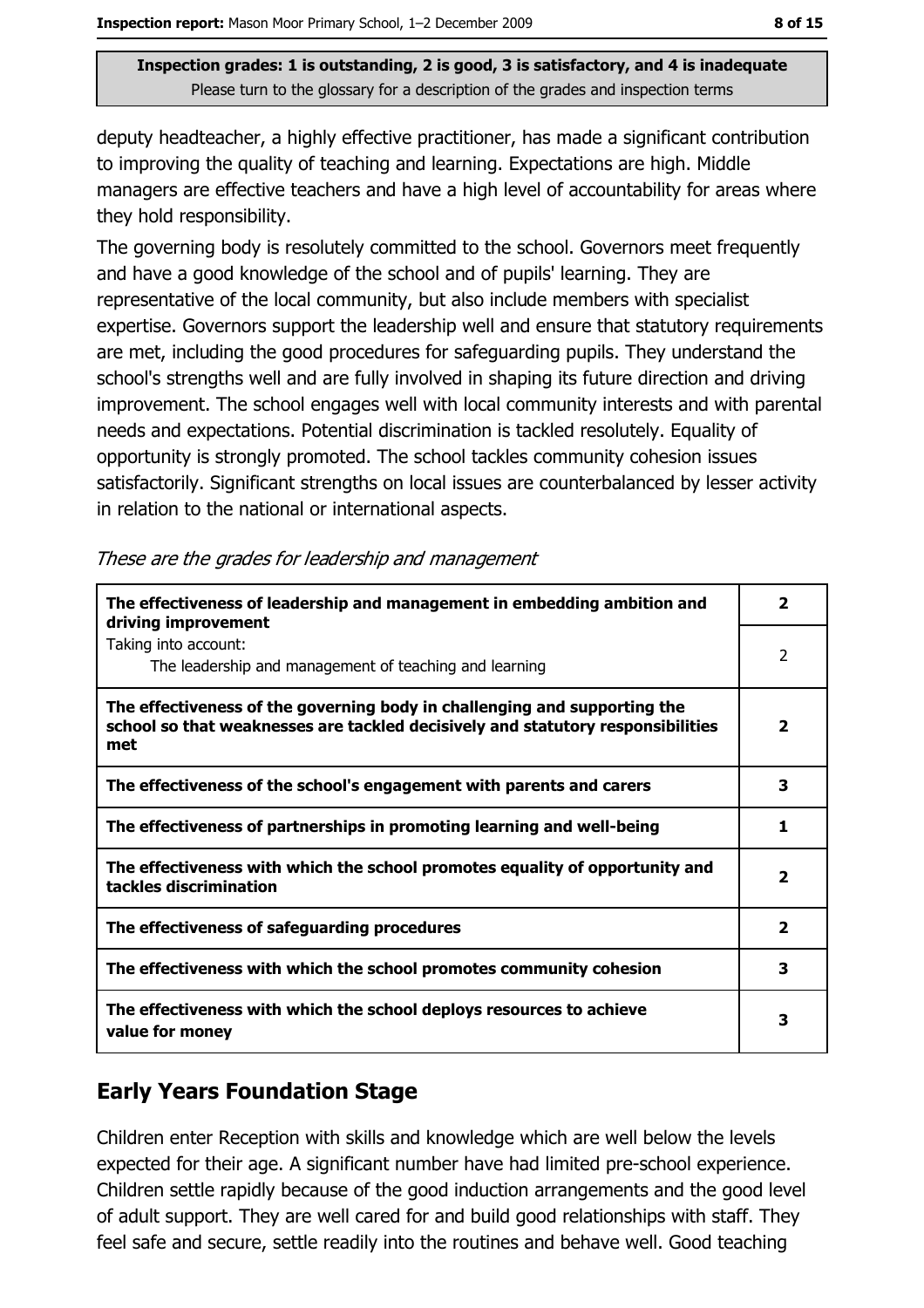deputy headteacher, a highly effective practitioner, has made a significant contribution to improving the quality of teaching and learning. Expectations are high. Middle managers are effective teachers and have a high level of accountability for areas where they hold responsibility.

The governing body is resolutely committed to the school. Governors meet frequently and have a good knowledge of the school and of pupils' learning. They are representative of the local community, but also include members with specialist expertise. Governors support the leadership well and ensure that statutory requirements are met, including the good procedures for safeguarding pupils. They understand the school's strengths well and are fully involved in shaping its future direction and driving improvement. The school engages well with local community interests and with parental needs and expectations. Potential discrimination is tackled resolutely. Equality of opportunity is strongly promoted. The school tackles community cohesion issues satisfactorily. Significant strengths on local issues are counterbalanced by lesser activity in relation to the national or international aspects.

| The effectiveness of leadership and management in embedding ambition and<br>driving improvement                                                                     | $\overline{\mathbf{2}}$ |
|---------------------------------------------------------------------------------------------------------------------------------------------------------------------|-------------------------|
| Taking into account:<br>The leadership and management of teaching and learning                                                                                      | 2                       |
| The effectiveness of the governing body in challenging and supporting the<br>school so that weaknesses are tackled decisively and statutory responsibilities<br>met | $\overline{\mathbf{2}}$ |
| The effectiveness of the school's engagement with parents and carers                                                                                                | 3                       |
| The effectiveness of partnerships in promoting learning and well-being                                                                                              | 1                       |
| The effectiveness with which the school promotes equality of opportunity and<br>tackles discrimination                                                              | $\overline{\mathbf{2}}$ |
| The effectiveness of safeguarding procedures                                                                                                                        | $\overline{\mathbf{2}}$ |
| The effectiveness with which the school promotes community cohesion                                                                                                 | 3                       |
| The effectiveness with which the school deploys resources to achieve<br>value for money                                                                             | 3                       |

|  |  |  | These are the grades for leadership and management |  |
|--|--|--|----------------------------------------------------|--|
|  |  |  |                                                    |  |

## **Early Years Foundation Stage**

Children enter Reception with skills and knowledge which are well below the levels expected for their age. A significant number have had limited pre-school experience. Children settle rapidly because of the good induction arrangements and the good level of adult support. They are well cared for and build good relationships with staff. They feel safe and secure, settle readily into the routines and behave well. Good teaching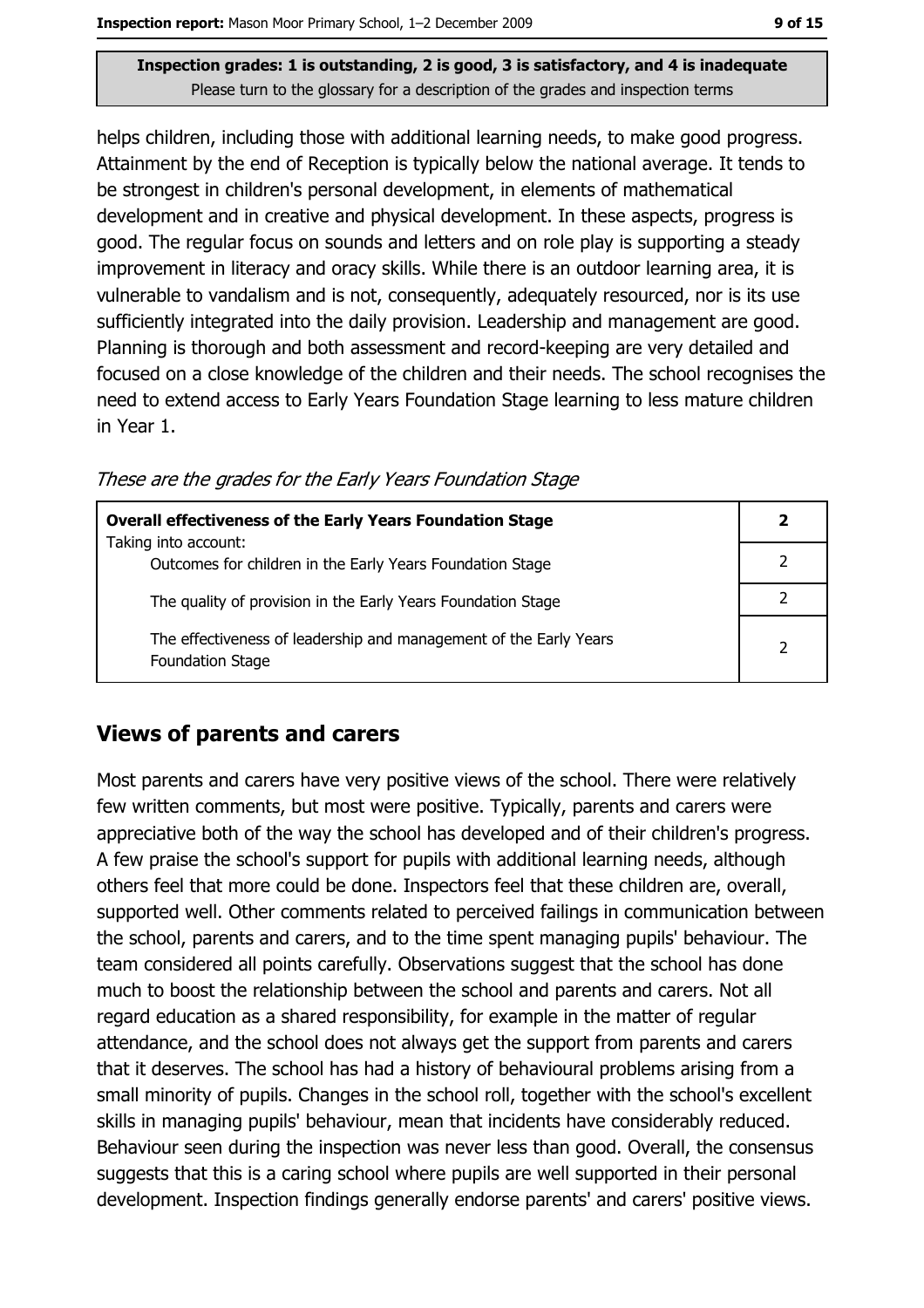helps children, including those with additional learning needs, to make good progress. Attainment by the end of Reception is typically below the national average. It tends to be strongest in children's personal development, in elements of mathematical development and in creative and physical development. In these aspects, progress is good. The regular focus on sounds and letters and on role play is supporting a steady improvement in literacy and oracy skills. While there is an outdoor learning area, it is vulnerable to vandalism and is not, consequently, adequately resourced, nor is its use sufficiently integrated into the daily provision. Leadership and management are good. Planning is thorough and both assessment and record-keeping are very detailed and focused on a close knowledge of the children and their needs. The school recognises the need to extend access to Early Years Foundation Stage learning to less mature children in Year 1.

These are the grades for the Early Years Foundation Stage

| <b>Overall effectiveness of the Early Years Foundation Stage</b>                             |               |
|----------------------------------------------------------------------------------------------|---------------|
| Taking into account:<br>Outcomes for children in the Early Years Foundation Stage            |               |
| The quality of provision in the Early Years Foundation Stage                                 |               |
| The effectiveness of leadership and management of the Early Years<br><b>Foundation Stage</b> | $\mathcal{P}$ |

#### **Views of parents and carers**

Most parents and carers have very positive views of the school. There were relatively few written comments, but most were positive. Typically, parents and carers were appreciative both of the way the school has developed and of their children's progress. A few praise the school's support for pupils with additional learning needs, although others feel that more could be done. Inspectors feel that these children are, overall, supported well. Other comments related to perceived failings in communication between the school, parents and carers, and to the time spent managing pupils' behaviour. The team considered all points carefully. Observations suggest that the school has done much to boost the relationship between the school and parents and carers. Not all regard education as a shared responsibility, for example in the matter of regular attendance, and the school does not always get the support from parents and carers that it deserves. The school has had a history of behavioural problems arising from a small minority of pupils. Changes in the school roll, together with the school's excellent skills in managing pupils' behaviour, mean that incidents have considerably reduced. Behaviour seen during the inspection was never less than good. Overall, the consensus suggests that this is a caring school where pupils are well supported in their personal development. Inspection findings generally endorse parents' and carers' positive views.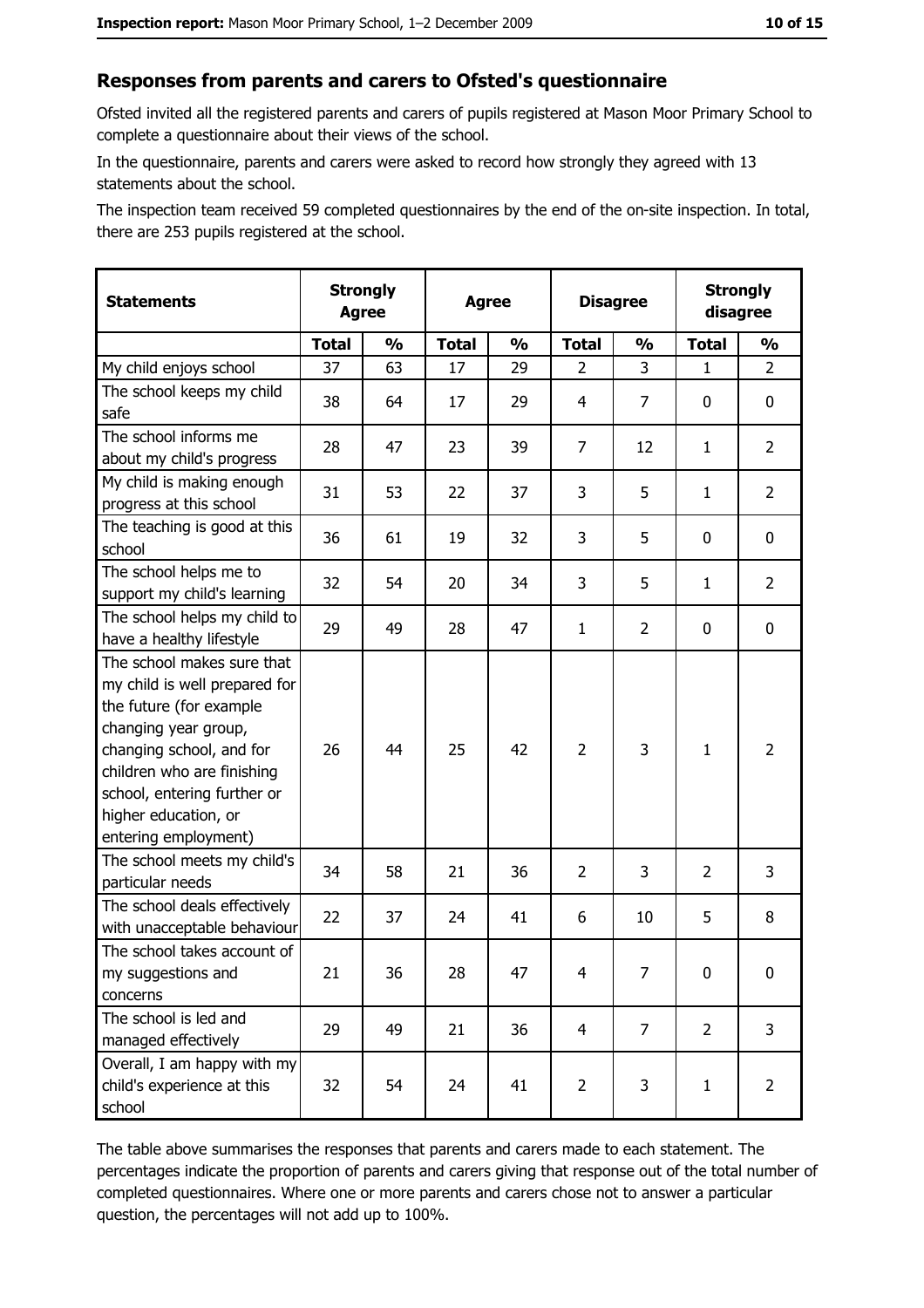#### Responses from parents and carers to Ofsted's questionnaire

Ofsted invited all the registered parents and carers of pupils registered at Mason Moor Primary School to complete a questionnaire about their views of the school.

In the questionnaire, parents and carers were asked to record how strongly they agreed with 13 statements about the school.

The inspection team received 59 completed questionnaires by the end of the on-site inspection. In total, there are 253 pupils registered at the school.

| <b>Statements</b>                                                                                                                                                                                                                                       | <b>Strongly</b><br><b>Agree</b> |               | <b>Agree</b> |               | <b>Disagree</b> |                | <b>Strongly</b><br>disagree |                |
|---------------------------------------------------------------------------------------------------------------------------------------------------------------------------------------------------------------------------------------------------------|---------------------------------|---------------|--------------|---------------|-----------------|----------------|-----------------------------|----------------|
|                                                                                                                                                                                                                                                         | <b>Total</b>                    | $\frac{0}{0}$ | <b>Total</b> | $\frac{0}{0}$ | <b>Total</b>    | $\frac{1}{2}$  | <b>Total</b>                | $\frac{0}{0}$  |
| My child enjoys school                                                                                                                                                                                                                                  | 37                              | 63            | 17           | 29            | $\overline{2}$  | 3              | $\mathbf{1}$                | $\overline{2}$ |
| The school keeps my child<br>safe                                                                                                                                                                                                                       | 38                              | 64            | 17           | 29            | 4               | 7              | 0                           | $\mathbf 0$    |
| The school informs me<br>about my child's progress                                                                                                                                                                                                      | 28                              | 47            | 23           | 39            | $\overline{7}$  | 12             | $\mathbf{1}$                | $\overline{2}$ |
| My child is making enough<br>progress at this school                                                                                                                                                                                                    | 31                              | 53            | 22           | 37            | 3               | 5              | 1                           | $\overline{2}$ |
| The teaching is good at this<br>school                                                                                                                                                                                                                  | 36                              | 61            | 19           | 32            | 3               | 5              | 0                           | 0              |
| The school helps me to<br>support my child's learning                                                                                                                                                                                                   | 32                              | 54            | 20           | 34            | 3               | 5              | 1                           | $\overline{2}$ |
| The school helps my child to<br>have a healthy lifestyle                                                                                                                                                                                                | 29                              | 49            | 28           | 47            | $\mathbf{1}$    | $\overline{2}$ | 0                           | $\mathbf 0$    |
| The school makes sure that<br>my child is well prepared for<br>the future (for example<br>changing year group,<br>changing school, and for<br>children who are finishing<br>school, entering further or<br>higher education, or<br>entering employment) | 26                              | 44            | 25           | 42            | $\overline{2}$  | 3              | $\mathbf{1}$                | $\overline{2}$ |
| The school meets my child's<br>particular needs                                                                                                                                                                                                         | 34                              | 58            | 21           | 36            | $\overline{2}$  | 3              | $\overline{2}$              | 3              |
| The school deals effectively<br>with unacceptable behaviour                                                                                                                                                                                             | 22                              | 37            | 24           | 41            | 6               | 10             | 5                           | 8              |
| The school takes account of<br>my suggestions and<br>concerns                                                                                                                                                                                           | 21                              | 36            | 28           | 47            | $\overline{4}$  | 7              | 0                           | $\bf{0}$       |
| The school is led and<br>managed effectively                                                                                                                                                                                                            | 29                              | 49            | 21           | 36            | $\overline{4}$  | $\overline{7}$ | $\overline{2}$              | 3              |
| Overall, I am happy with my<br>child's experience at this<br>school                                                                                                                                                                                     | 32                              | 54            | 24           | 41            | $\overline{2}$  | 3              | $\mathbf{1}$                | $\overline{2}$ |

The table above summarises the responses that parents and carers made to each statement. The percentages indicate the proportion of parents and carers giving that response out of the total number of completed questionnaires. Where one or more parents and carers chose not to answer a particular question, the percentages will not add up to 100%.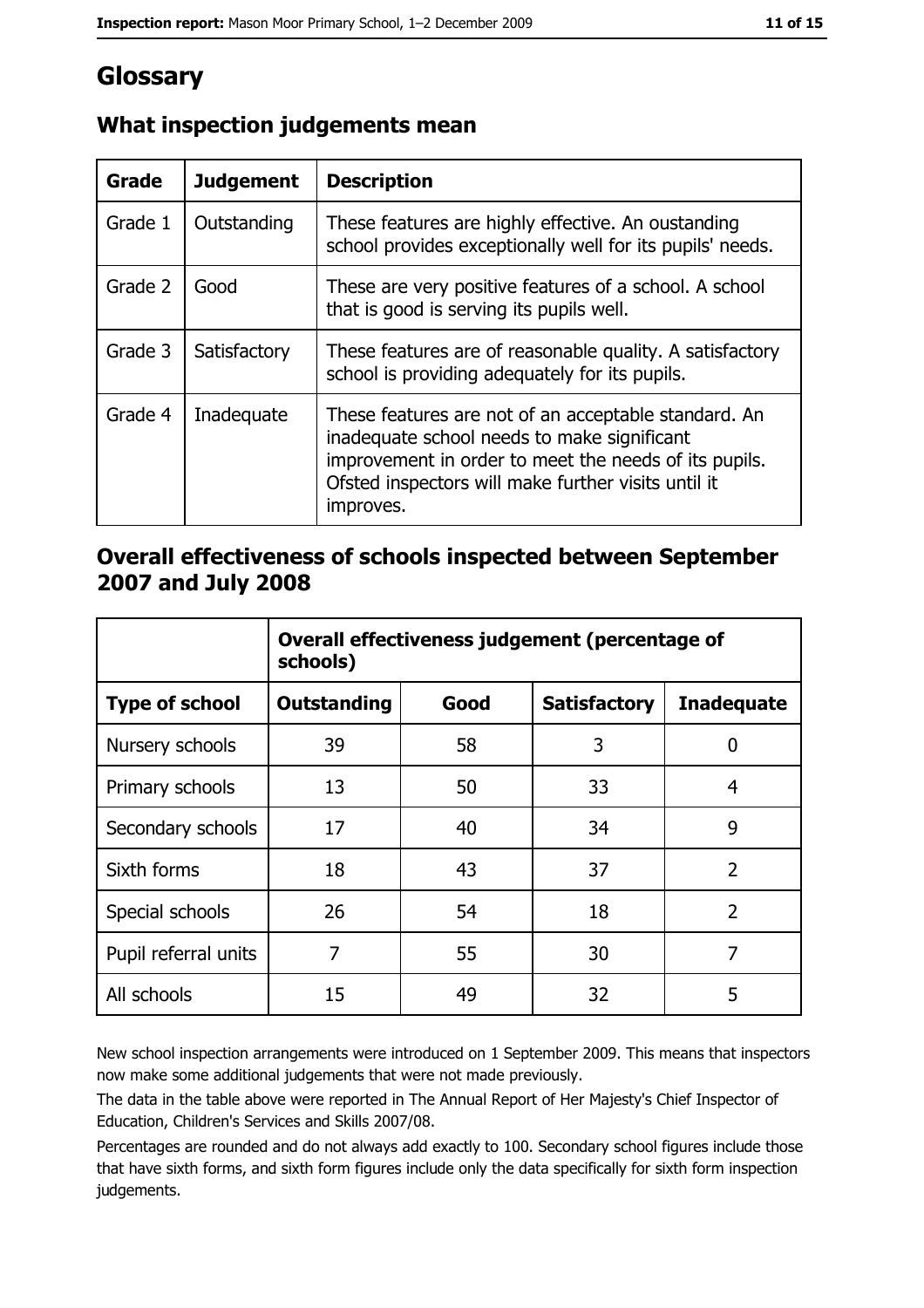# Glossary

| Grade   | <b>Judgement</b> | <b>Description</b>                                                                                                                                                                                                               |
|---------|------------------|----------------------------------------------------------------------------------------------------------------------------------------------------------------------------------------------------------------------------------|
| Grade 1 | Outstanding      | These features are highly effective. An oustanding<br>school provides exceptionally well for its pupils' needs.                                                                                                                  |
| Grade 2 | Good             | These are very positive features of a school. A school<br>that is good is serving its pupils well.                                                                                                                               |
| Grade 3 | Satisfactory     | These features are of reasonable quality. A satisfactory<br>school is providing adequately for its pupils.                                                                                                                       |
| Grade 4 | Inadequate       | These features are not of an acceptable standard. An<br>inadequate school needs to make significant<br>improvement in order to meet the needs of its pupils.<br>Ofsted inspectors will make further visits until it<br>improves. |

## What inspection judgements mean

#### Overall effectiveness of schools inspected between September 2007 and July 2008

|                       | Overall effectiveness judgement (percentage of<br>schools) |      |                     |                   |
|-----------------------|------------------------------------------------------------|------|---------------------|-------------------|
| <b>Type of school</b> | Outstanding                                                | Good | <b>Satisfactory</b> | <b>Inadequate</b> |
| Nursery schools       | 39                                                         | 58   | 3                   | 0                 |
| Primary schools       | 13                                                         | 50   | 33                  | 4                 |
| Secondary schools     | 17                                                         | 40   | 34                  | 9                 |
| Sixth forms           | 18                                                         | 43   | 37                  | $\overline{2}$    |
| Special schools       | 26                                                         | 54   | 18                  | $\overline{2}$    |
| Pupil referral units  | 7                                                          | 55   | 30                  | 7                 |
| All schools           | 15                                                         | 49   | 32                  | 5                 |

New school inspection arrangements were introduced on 1 September 2009. This means that inspectors now make some additional judgements that were not made previously.

The data in the table above were reported in The Annual Report of Her Majesty's Chief Inspector of Education, Children's Services and Skills 2007/08.

Percentages are rounded and do not always add exactly to 100. Secondary school figures include those that have sixth forms, and sixth form figures include only the data specifically for sixth form inspection judgements.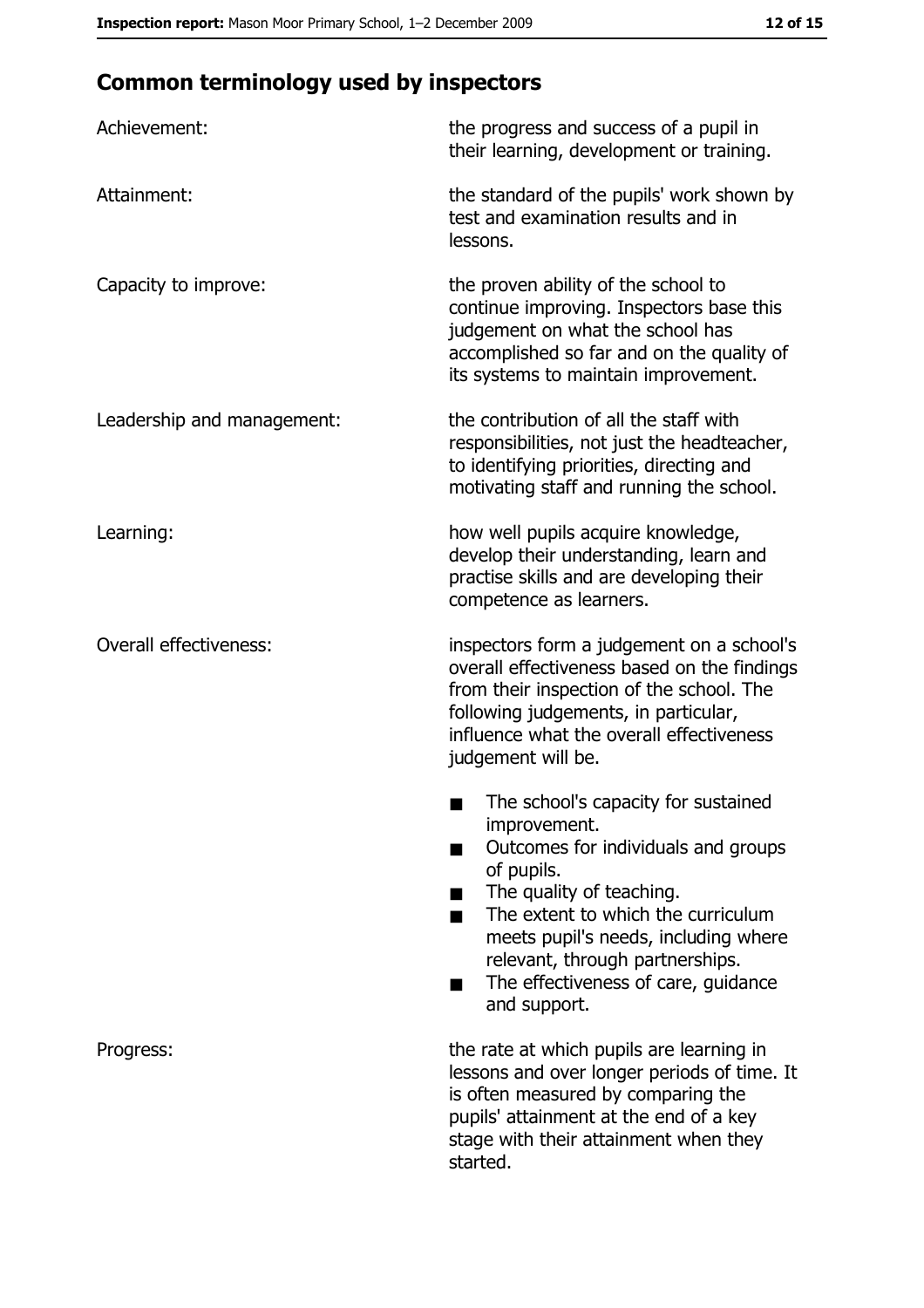# **Common terminology used by inspectors**

| Achievement:                  | the progress and success of a pupil in<br>their learning, development or training.                                                                                                                                                                                                                           |
|-------------------------------|--------------------------------------------------------------------------------------------------------------------------------------------------------------------------------------------------------------------------------------------------------------------------------------------------------------|
| Attainment:                   | the standard of the pupils' work shown by<br>test and examination results and in<br>lessons.                                                                                                                                                                                                                 |
| Capacity to improve:          | the proven ability of the school to<br>continue improving. Inspectors base this<br>judgement on what the school has<br>accomplished so far and on the quality of<br>its systems to maintain improvement.                                                                                                     |
| Leadership and management:    | the contribution of all the staff with<br>responsibilities, not just the headteacher,<br>to identifying priorities, directing and<br>motivating staff and running the school.                                                                                                                                |
| Learning:                     | how well pupils acquire knowledge,<br>develop their understanding, learn and<br>practise skills and are developing their<br>competence as learners.                                                                                                                                                          |
| <b>Overall effectiveness:</b> | inspectors form a judgement on a school's<br>overall effectiveness based on the findings<br>from their inspection of the school. The<br>following judgements, in particular,<br>influence what the overall effectiveness<br>judgement will be.                                                               |
|                               | The school's capacity for sustained<br>improvement.<br>Outcomes for individuals and groups<br>of pupils.<br>The quality of teaching.<br>The extent to which the curriculum<br>meets pupil's needs, including where<br>relevant, through partnerships.<br>The effectiveness of care, guidance<br>and support. |
| Progress:                     | the rate at which pupils are learning in<br>lessons and over longer periods of time. It<br>is often measured by comparing the<br>pupils' attainment at the end of a key<br>stage with their attainment when they<br>started.                                                                                 |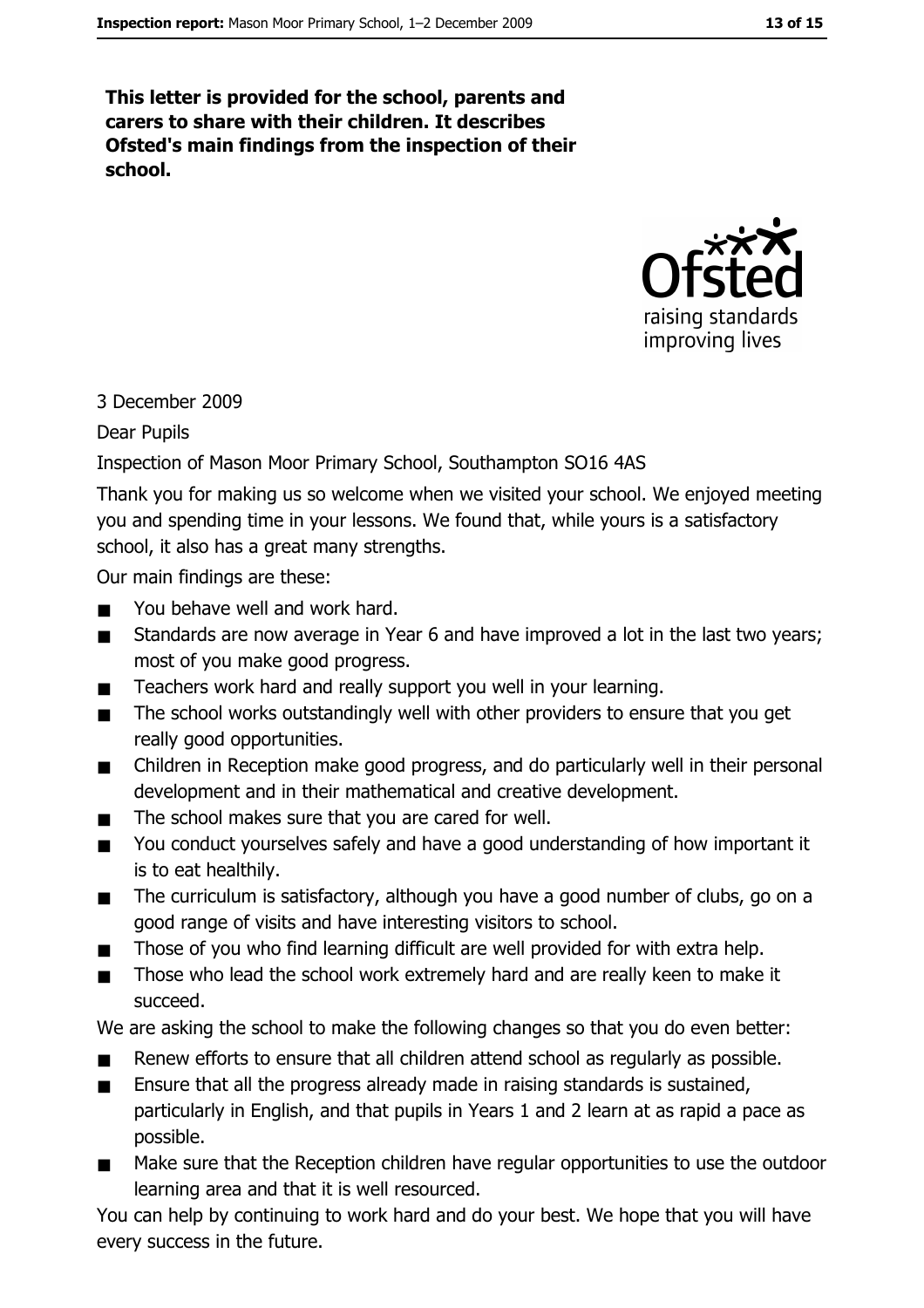This letter is provided for the school, parents and carers to share with their children. It describes Ofsted's main findings from the inspection of their school.



#### 3 December 2009

**Dear Pupils** 

#### Inspection of Mason Moor Primary School, Southampton SO16 4AS

Thank you for making us so welcome when we visited your school. We enjoyed meeting you and spending time in your lessons. We found that, while yours is a satisfactory school, it also has a great many strengths.

Our main findings are these:

- You behave well and work hard.  $\blacksquare$
- Standards are now average in Year 6 and have improved a lot in the last two years;  $\blacksquare$ most of you make good progress.
- Teachers work hard and really support you well in your learning.  $\blacksquare$
- The school works outstandingly well with other providers to ensure that you get  $\blacksquare$ really good opportunities.
- Children in Reception make good progress, and do particularly well in their personal  $\blacksquare$ development and in their mathematical and creative development.
- The school makes sure that you are cared for well.  $\blacksquare$
- You conduct vourselves safely and have a good understanding of how important it  $\blacksquare$ is to eat healthily.
- $\blacksquare$ The curriculum is satisfactory, although you have a good number of clubs, go on a good range of visits and have interesting visitors to school.
- Those of you who find learning difficult are well provided for with extra help.  $\blacksquare$
- Those who lead the school work extremely hard and are really keen to make it  $\blacksquare$ succeed.

We are asking the school to make the following changes so that you do even better:

- Renew efforts to ensure that all children attend school as regularly as possible.
- Ensure that all the progress already made in raising standards is sustained, particularly in English, and that pupils in Years 1 and 2 learn at as rapid a pace as possible.
- Make sure that the Reception children have regular opportunities to use the outdoor  $\blacksquare$ learning area and that it is well resourced.

You can help by continuing to work hard and do your best. We hope that you will have every success in the future.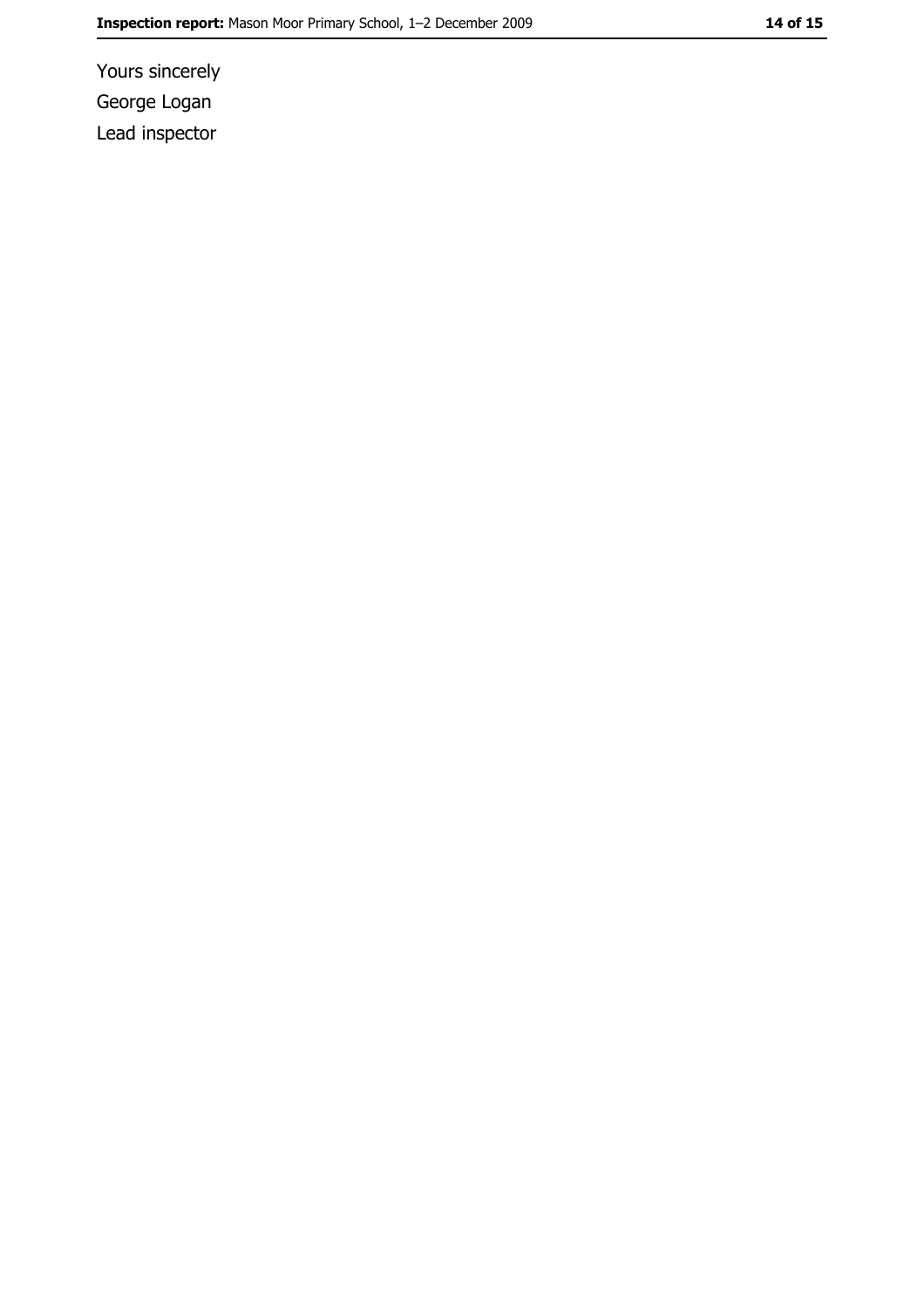Yours sincerely George Logan Lead inspector